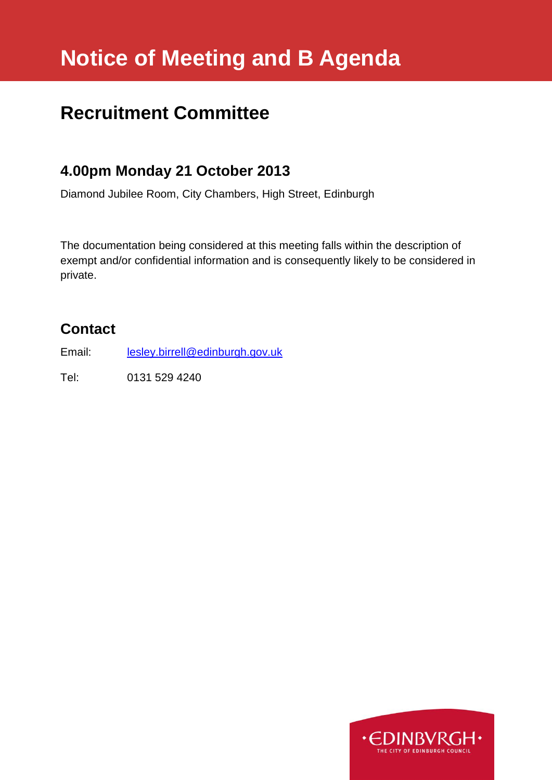# **Notice of Meeting and B Agenda**

# **Recruitment Committee**

# **4.00pm Monday 21 October 2013**

Diamond Jubilee Room, City Chambers, High Street, Edinburgh

The documentation being considered at this meeting falls within the description of exempt and/or confidential information and is consequently likely to be considered in private.

# **Contact**

Email: [lesley.birrell@edinburgh.gov.uk](mailto:lesley.birrell@edinburgh.gov.uk)

Tel: 0131 529 4240

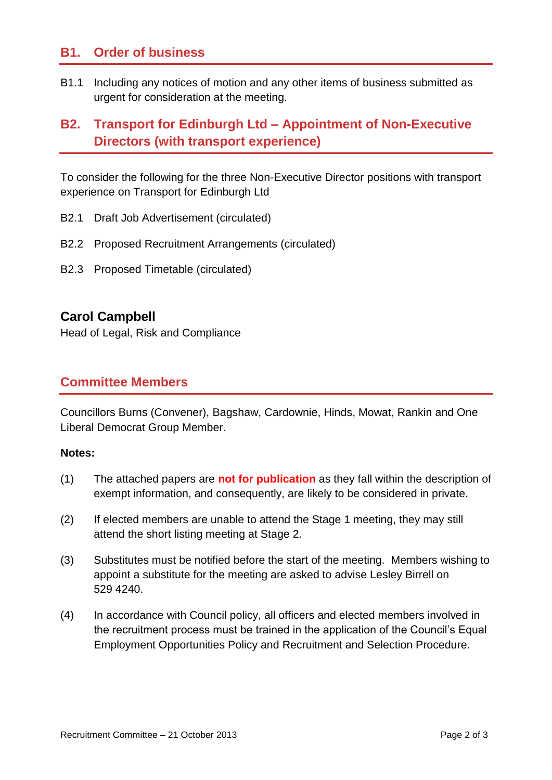## **B1. Order of business**

B1.1 Including any notices of motion and any other items of business submitted as urgent for consideration at the meeting.

# **B2. Transport for Edinburgh Ltd – Appointment of Non-Executive Directors (with transport experience)**

To consider the following for the three Non-Executive Director positions with transport experience on Transport for Edinburgh Ltd

- B2.1 Draft Job Advertisement (circulated)
- B2.2 Proposed Recruitment Arrangements (circulated)
- B2.3 Proposed Timetable (circulated)

#### **Carol Campbell**

Head of Legal, Risk and Compliance

### **Committee Members**

Councillors Burns (Convener), Bagshaw, Cardownie, Hinds, Mowat, Rankin and One Liberal Democrat Group Member.

#### **Notes:**

- (1) The attached papers are **not for publication** as they fall within the description of exempt information, and consequently, are likely to be considered in private.
- (2) If elected members are unable to attend the Stage 1 meeting, they may still attend the short listing meeting at Stage 2.
- (3) Substitutes must be notified before the start of the meeting. Members wishing to appoint a substitute for the meeting are asked to advise Lesley Birrell on 529 4240.
- (4) In accordance with Council policy, all officers and elected members involved in the recruitment process must be trained in the application of the Council's Equal Employment Opportunities Policy and Recruitment and Selection Procedure.